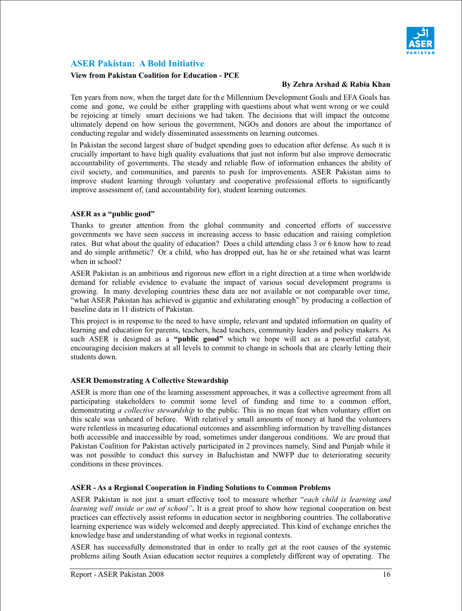

# **ASER Pakistan: A Bold Initiative**

#### **View from Pakistan Coalition for Education - PCE**

#### **By Zehra Arshad & Rabia Khan**

Ten years from now, when the target date for th e Millennium Development Goals and EFA Goals has come and gone, we could be either grappling with questions about what went wrong or we could be rejoicing at timely smart decisions we had taken. The decisions that will impact the outcome ultimately depend on how serious the government, NGOs and donors are about the importance of conducting regular and widely disseminated assessments on learning outcomes.

In Pakistan the second largest share of budget spending goes to education after defense. As such it is crucially important to have high quality evaluations that just not inform but also improve democratic accountability of governments. The steady and reliable flow of information enhances the ability of civil society, and communities, and parents to push for improvements. ASER Pakistan aims to improve student learning through voluntary and cooperative professional efforts to significantly improve assessment of, (and accountability for), student learning outcomes.

## **ASER as a "public good"**

Thanks to greater attention from the global community and concerted efforts of successive governments we have seen success in increasing access to basic education and raising completion rates. But what about the quality of education? Does a child attending class 3 or 6 know how to read and do simple arithmetic? Or a child, who has dropped out, has he or she retained what was learnt when in school?

ASER Pakistan is an ambitious and rigorous new effort in a right direction at a time when worldwide demand for reliable evidence to evaluate the impact of various social development programs is growing. In many developing countries these data are not available or not comparable over time, "what ASER Pakistan has achieved is gigantic and exhilarating enough" by producing a collection of baseline data in 11 districts of Pakistan.

This project is in response to the need to have simple, relevant and updated information on quality of learning and education for parents, teachers, head teachers, community leaders and policy makers. As such ASER is designed as a **"public good"** which we hope will act as a powerful catalyst, encouraging decision makers at all levels to commit to change in schools that are clearly letting their students down.

## **ASER Demonstrating A Collective Stewardship**

ASER is more than one of the learning assessment approaches, it was a collective agreement from all participating stakeholders to commit some level of funding and time to a common effort, demonstrating *a collective stewardship* to the public. This is no mean feat when voluntary effort on this scale was unheard of before. With relativel y small amounts of money at hand the volunteers were relentless in measuring educational outcomes and assembling information by travelling distances both accessible and inaccessible by road, sometimes under dangerous conditions. We are proud that Pakistan Coalition for Pakistan actively participated in 2 provinces namely, Sind and Punjab while it was not possible to conduct this survey in Baluchistan and NWFP due to deteriorating security conditions in these provinces.

## **ASER - As a Regional Cooperation in Finding Solutions to Common Problems**

ASER Pakistan is not just a smart effective tool to measure whether "*each child is learning and learning well inside or out of school"***.** It is a great proof to show how regional cooperation on best practices can effectively assist reforms in education sector in neighboring countries. The collaborative learning experience was widely welcomed and deeply appreciated. This kind of exchange enriches the knowledge base and understanding of what works in regional contexts.

ASER has successfully demonstrated that in order to really get at the root causes of the systemic problems ailing South Asian education sector requires a completely different way of operating. The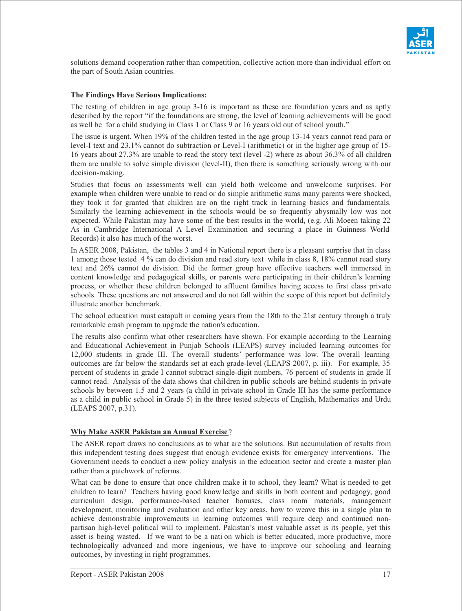

solutions demand cooperation rather than competition, collective action more than individual effort on the part of South Asian countries.

## **The Findings Have Serious Implications:**

The testing of children in age group 3-16 is important as these are foundation years and as aptly described by the report "if the foundations are strong, the level of learning achievements will be good as well be for a child studying in Class 1 or Class 9 or 16 years old out of school youth."

The issue is urgent. When 19% of the children tested in the age group 13-14 years cannot read para or level-I text and 23.1% cannot do subtraction or Level-I (arithmetic) or in the higher age group of 15- 16 years about 27.3% are unable to read the story text (level -2) where as about 36.3% of all children them are unable to solve simple division (level-II), then there is something seriously wrong with our decision-making.

Studies that focus on assessments well can yield both welcome and unwelcome surprises. For example when children were unable to read or do simple arithmetic sums many parents were shocked, they took it for granted that children are on the right track in learning basics and fundamentals. Similarly the learning achievement in the schools would be so frequently abysmally low was not expected. While Pakistan may have some of the best results in the world, (e.g. Ali Moeen taking 22 As in Cambridge International A Level Examination and securing a place in Guinness World Records) it also has much of the worst.

In ASER 2008, Pakistan, the tables 3 and 4 in National report there is a pleasant surprise that in class 1 among those tested 4 % can do division and read story text while in class 8, 18% cannot read story text and 26% cannot do division. Did the former group have effective teachers well immersed in content knowledge and pedagogical skills, or parents were participating in their children's learning process, or whether these children belonged to affluent families having access to first class private schools. These questions are not answered and do not fall within the scope of this report but definitely illustrate another benchmark.

The school education must catapult in coming years from the 18th to the 21st century through a truly remarkable crash program to upgrade the nation's education.

The results also confirm what other researchers have shown. For example according to the Learning and Educational Achievement in Punjab Schools (LEAPS) survey included learning outcomes for 12,000 students in grade III. The overall students' performance was low. The overall learning outcomes are far below the standards set at each grade-level (LEAPS 2007, p. iii). For example, 35 percent of students in grade I cannot subtract single-digit numbers, 76 percent of students in grade II cannot read. Analysis of the data shows that children in public schools are behind students in private schools by between 1.5 and 2 years (a child in private school in Grade III has the same performance as a child in public school in Grade 5) in the three tested subjects of English, Mathematics and Urdu (LEAPS 2007, p.31).

## **Why Make ASER Pakistan an Annual Exercise** ?

The ASER report draws no conclusions as to what are the solutions. But accumulation of results from this independent testing does suggest that enough evidence exists for emergency interventions. The Government needs to conduct a new policy analysis in the education sector and create a master plan rather than a patchwork of reforms.

What can be done to ensure that once children make it to school, they learn? What is needed to get children to learn? Teachers having good know ledge and skills in both content and pedagogy, good curriculum design, performance-based teacher bonuses, class room materials, management development, monitoring and evaluation and other key areas, how to weave this in a single plan to achieve demonstrable improvements in learning outcomes will require deep and continued nonpartisan high-level political will to implement. Pakistan's most valuable asset is its people, yet this asset is being wasted. If we want to be a nati on which is better educated, more productive, more technologically advanced and more ingenious, we have to improve our schooling and learning outcomes, by investing in right programmes.